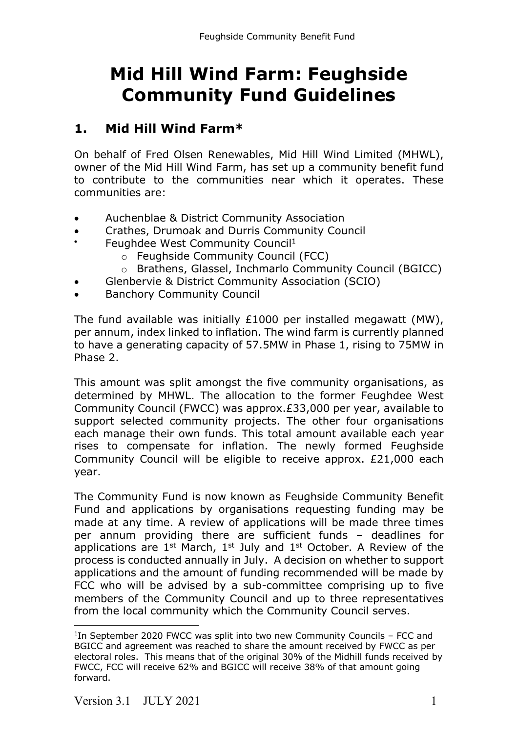# **Mid Hill Wind Farm: Feughside Community Fund Guidelines**

### **1. Mid Hill Wind Farm\***

On behalf of Fred Olsen Renewables, Mid Hill Wind Limited (MHWL), owner of the Mid Hill Wind Farm, has set up a community benefit fund to contribute to the communities near which it operates. These communities are:

- Auchenblae & District Community Association
- Crathes, Drumoak and Durris Community Council
- Feughdee West Community Council<sup>1</sup>
	- o Feughside Community Council (FCC)
	- o Brathens, Glassel, Inchmarlo Community Council (BGICC)
- Glenbervie & District Community Association (SCIO)
- Banchory Community Council

The fund available was initially £1000 per installed megawatt (MW), per annum, index linked to inflation. The wind farm is currently planned to have a generating capacity of 57.5MW in Phase 1, rising to 75MW in Phase 2.

This amount was split amongst the five community organisations, as determined by MHWL. The allocation to the former Feughdee West Community Council (FWCC) was approx.£33,000 per year, available to support selected community projects. The other four organisations each manage their own funds. This total amount available each year rises to compensate for inflation. The newly formed Feughside Community Council will be eligible to receive approx. £21,000 each year.

The Community Fund is now known as Feughside Community Benefit Fund and applications by organisations requesting funding may be made at any time. A review of applications will be made three times per annum providing there are sufficient funds – deadlines for applications are  $1^{st}$  March,  $1^{st}$  July and  $1^{st}$  October. A Review of the process is conducted annually in July. A decision on whether to support applications and the amount of funding recommended will be made by FCC who will be advised by a sub-committee comprising up to five members of the Community Council and up to three representatives from the local community which the Community Council serves.

 $1$ In September 2020 FWCC was split into two new Community Councils – FCC and BGICC and agreement was reached to share the amount received by FWCC as per electoral roles. This means that of the original 30% of the Midhill funds received by FWCC, FCC will receive 62% and BGICC will receive 38% of that amount going forward.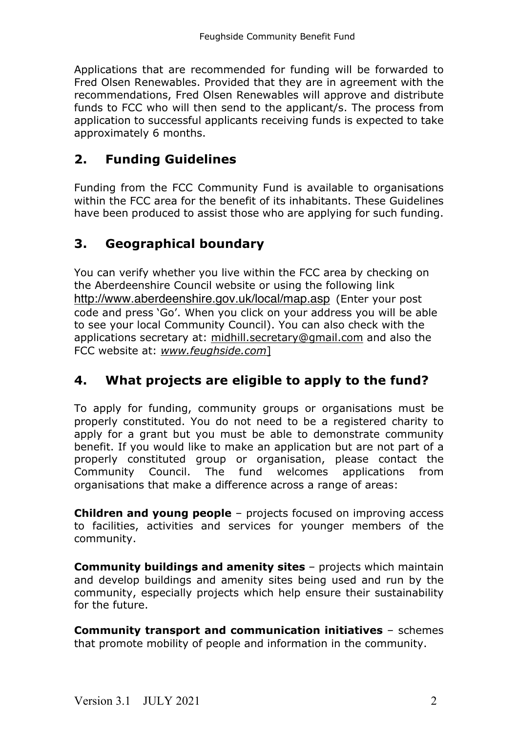Applications that are recommended for funding will be forwarded to Fred Olsen Renewables. Provided that they are in agreement with the recommendations, Fred Olsen Renewables will approve and distribute funds to FCC who will then send to the applicant/s. The process from application to successful applicants receiving funds is expected to take approximately 6 months.

# **2. Funding Guidelines**

Funding from the FCC Community Fund is available to organisations within the FCC area for the benefit of its inhabitants. These Guidelines have been produced to assist those who are applying for such funding.

# **3. Geographical boundary**

You can verify whether you live within the FCC area by checking on the Aberdeenshire Council website or using the following link http://www.aberdeenshire.gov.uk/local/map.asp (Enter your post code and press 'Go'. When you click on your address you will be able to see your local Community Council). You can also check with the applications secretary at: midhill.secretary@gmail.com and also the FCC website at: *www.feughside.com*]

# **4. What projects are eligible to apply to the fund?**

To apply for funding, community groups or organisations must be properly constituted. You do not need to be a registered charity to apply for a grant but you must be able to demonstrate community benefit. If you would like to make an application but are not part of a properly constituted group or organisation, please contact the Community Council. The fund welcomes applications from organisations that make a difference across a range of areas:

**Children and young people** – projects focused on improving access to facilities, activities and services for younger members of the community.

**Community buildings and amenity sites** – projects which maintain and develop buildings and amenity sites being used and run by the community, especially projects which help ensure their sustainability for the future.

**Community transport and communication initiatives** – schemes that promote mobility of people and information in the community.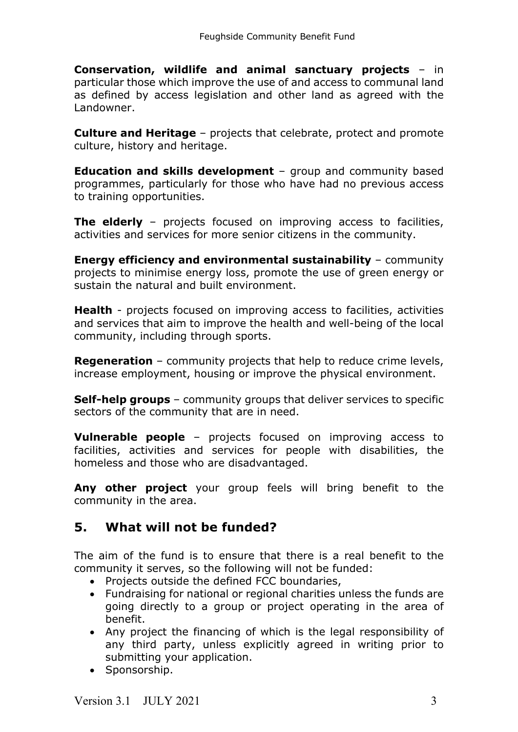**Conservation, wildlife and animal sanctuary projects** – in particular those which improve the use of and access to communal land as defined by access legislation and other land as agreed with the Landowner.

**Culture and Heritage** – projects that celebrate, protect and promote culture, history and heritage.

**Education and skills development** – group and community based programmes, particularly for those who have had no previous access to training opportunities.

**The elderly** – projects focused on improving access to facilities, activities and services for more senior citizens in the community.

**Energy efficiency and environmental sustainability** – community projects to minimise energy loss, promote the use of green energy or sustain the natural and built environment.

**Health** - projects focused on improving access to facilities, activities and services that aim to improve the health and well-being of the local community, including through sports.

**Regeneration** – community projects that help to reduce crime levels, increase employment, housing or improve the physical environment.

**Self-help groups** – community groups that deliver services to specific sectors of the community that are in need.

**Vulnerable people** – projects focused on improving access to facilities, activities and services for people with disabilities, the homeless and those who are disadvantaged.

**Any other project** your group feels will bring benefit to the community in the area.

### **5. What will not be funded?**

The aim of the fund is to ensure that there is a real benefit to the community it serves, so the following will not be funded:

- Projects outside the defined FCC boundaries,
- Fundraising for national or regional charities unless the funds are going directly to a group or project operating in the area of benefit.
- Any project the financing of which is the legal responsibility of any third party, unless explicitly agreed in writing prior to submitting your application.
- Sponsorship.

Version  $3.1$  JULY 2021  $3.3$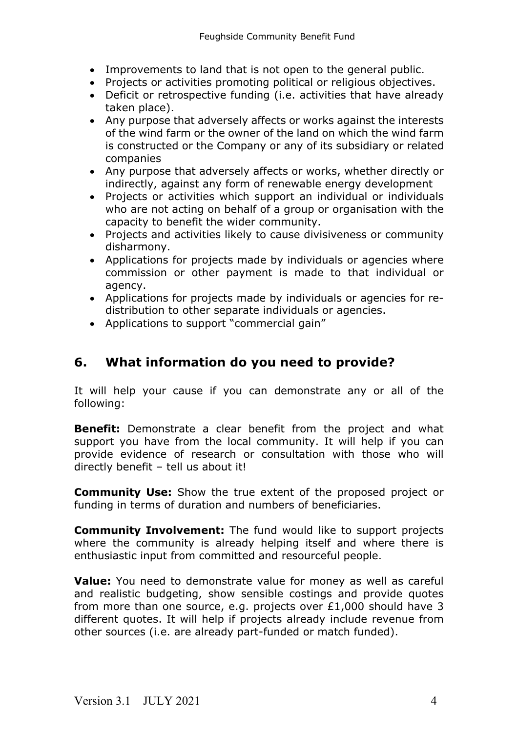- Improvements to land that is not open to the general public.
- Projects or activities promoting political or religious objectives.
- Deficit or retrospective funding (i.e. activities that have already taken place).
- Any purpose that adversely affects or works against the interests of the wind farm or the owner of the land on which the wind farm is constructed or the Company or any of its subsidiary or related companies
- Any purpose that adversely affects or works, whether directly or indirectly, against any form of renewable energy development
- Projects or activities which support an individual or individuals who are not acting on behalf of a group or organisation with the capacity to benefit the wider community.
- Projects and activities likely to cause divisiveness or community disharmony.
- Applications for projects made by individuals or agencies where commission or other payment is made to that individual or agency.
- Applications for projects made by individuals or agencies for redistribution to other separate individuals or agencies.
- Applications to support "commercial gain"

# **6. What information do you need to provide?**

It will help your cause if you can demonstrate any or all of the following:

**Benefit:** Demonstrate a clear benefit from the project and what support you have from the local community. It will help if you can provide evidence of research or consultation with those who will directly benefit – tell us about it!

**Community Use:** Show the true extent of the proposed project or funding in terms of duration and numbers of beneficiaries.

**Community Involvement:** The fund would like to support projects where the community is already helping itself and where there is enthusiastic input from committed and resourceful people.

**Value:** You need to demonstrate value for money as well as careful and realistic budgeting, show sensible costings and provide quotes from more than one source, e.g. projects over £1,000 should have 3 different quotes. It will help if projects already include revenue from other sources (i.e. are already part-funded or match funded).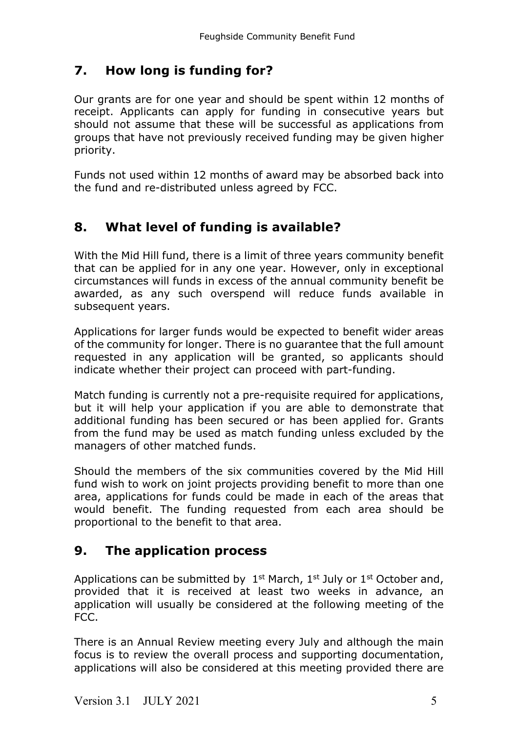# **7. How long is funding for?**

Our grants are for one year and should be spent within 12 months of receipt. Applicants can apply for funding in consecutive years but should not assume that these will be successful as applications from groups that have not previously received funding may be given higher priority.

Funds not used within 12 months of award may be absorbed back into the fund and re-distributed unless agreed by FCC.

# **8. What level of funding is available?**

With the Mid Hill fund, there is a limit of three years community benefit that can be applied for in any one year. However, only in exceptional circumstances will funds in excess of the annual community benefit be awarded, as any such overspend will reduce funds available in subsequent years.

Applications for larger funds would be expected to benefit wider areas of the community for longer. There is no guarantee that the full amount requested in any application will be granted, so applicants should indicate whether their project can proceed with part-funding.

Match funding is currently not a pre-requisite required for applications, but it will help your application if you are able to demonstrate that additional funding has been secured or has been applied for. Grants from the fund may be used as match funding unless excluded by the managers of other matched funds.

Should the members of the six communities covered by the Mid Hill fund wish to work on joint projects providing benefit to more than one area, applications for funds could be made in each of the areas that would benefit. The funding requested from each area should be proportional to the benefit to that area.

# **9. The application process**

Applications can be submitted by  $1^{st}$  March,  $1^{st}$  July or  $1^{st}$  October and, provided that it is received at least two weeks in advance, an application will usually be considered at the following meeting of the FCC.

There is an Annual Review meeting every July and although the main focus is to review the overall process and supporting documentation, applications will also be considered at this meeting provided there are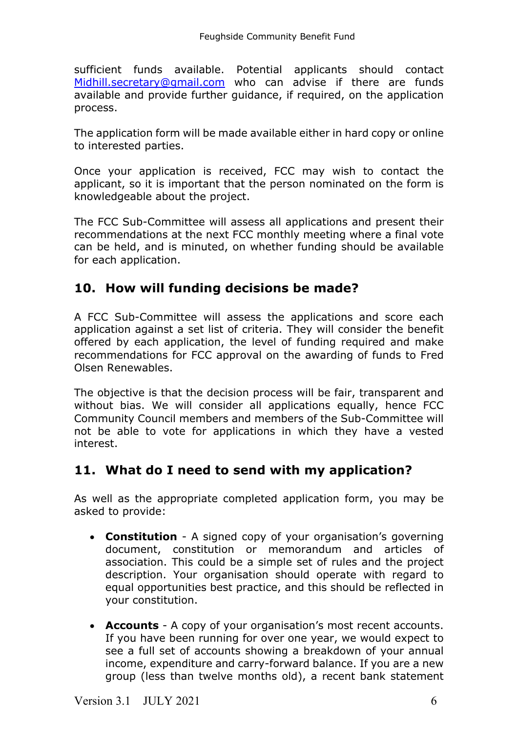sufficient funds available. Potential applicants should contact Midhill.secretary@gmail.com who can advise if there are funds available and provide further guidance, if required, on the application process.

The application form will be made available either in hard copy or online to interested parties.

Once your application is received, FCC may wish to contact the applicant, so it is important that the person nominated on the form is knowledgeable about the project.

The FCC Sub-Committee will assess all applications and present their recommendations at the next FCC monthly meeting where a final vote can be held, and is minuted, on whether funding should be available for each application.

### **10. How will funding decisions be made?**

A FCC Sub-Committee will assess the applications and score each application against a set list of criteria. They will consider the benefit offered by each application, the level of funding required and make recommendations for FCC approval on the awarding of funds to Fred Olsen Renewables.

The objective is that the decision process will be fair, transparent and without bias. We will consider all applications equally, hence FCC Community Council members and members of the Sub-Committee will not be able to vote for applications in which they have a vested interest.

### **11. What do I need to send with my application?**

As well as the appropriate completed application form, you may be asked to provide:

- **Constitution** A signed copy of your organisation's governing document, constitution or memorandum and articles of association. This could be a simple set of rules and the project description. Your organisation should operate with regard to equal opportunities best practice, and this should be reflected in your constitution.
- **Accounts** A copy of your organisation's most recent accounts. If you have been running for over one year, we would expect to see a full set of accounts showing a breakdown of your annual income, expenditure and carry-forward balance. If you are a new group (less than twelve months old), a recent bank statement

Version 3.1 JULY 2021 6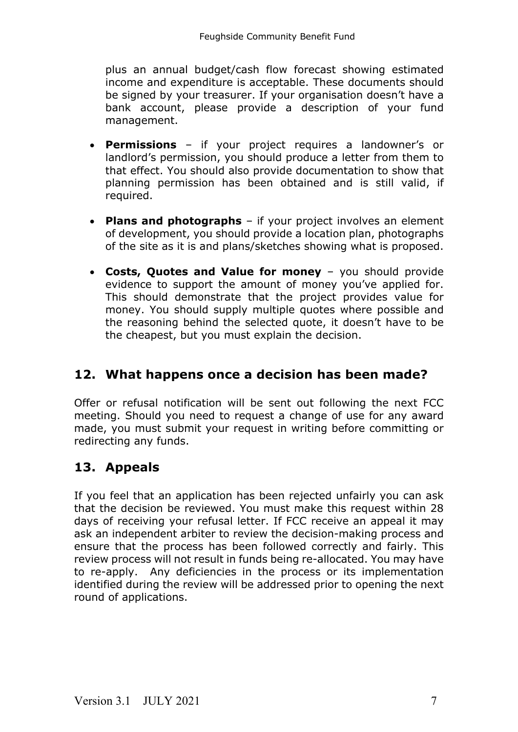plus an annual budget/cash flow forecast showing estimated income and expenditure is acceptable. These documents should be signed by your treasurer. If your organisation doesn't have a bank account, please provide a description of your fund management.

- **Permissions** if your project requires a landowner's or landlord's permission, you should produce a letter from them to that effect. You should also provide documentation to show that planning permission has been obtained and is still valid, if required.
- **Plans and photographs** if your project involves an element of development, you should provide a location plan, photographs of the site as it is and plans/sketches showing what is proposed.
- **Costs, Quotes and Value for money** you should provide evidence to support the amount of money you've applied for. This should demonstrate that the project provides value for money. You should supply multiple quotes where possible and the reasoning behind the selected quote, it doesn't have to be the cheapest, but you must explain the decision.

# **12. What happens once a decision has been made?**

Offer or refusal notification will be sent out following the next FCC meeting. Should you need to request a change of use for any award made, you must submit your request in writing before committing or redirecting any funds.

# **13. Appeals**

If you feel that an application has been rejected unfairly you can ask that the decision be reviewed. You must make this request within 28 days of receiving your refusal letter. If FCC receive an appeal it may ask an independent arbiter to review the decision-making process and ensure that the process has been followed correctly and fairly. This review process will not result in funds being re-allocated. You may have to re-apply. Any deficiencies in the process or its implementation identified during the review will be addressed prior to opening the next round of applications.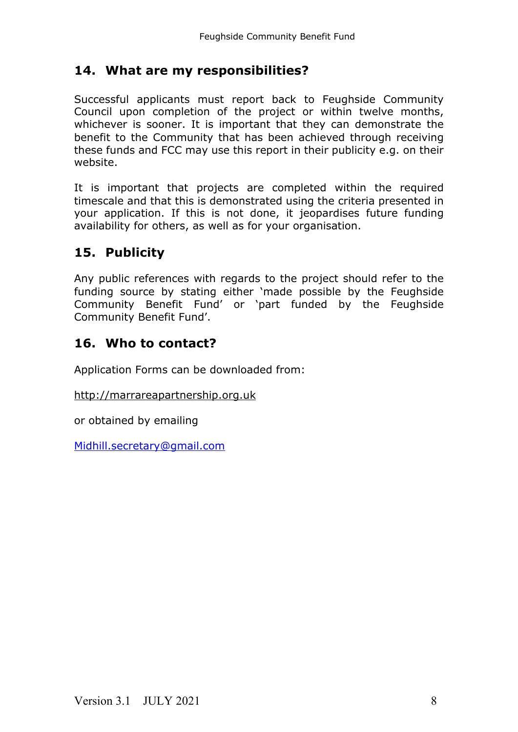### **14. What are my responsibilities?**

Successful applicants must report back to Feughside Community Council upon completion of the project or within twelve months, whichever is sooner. It is important that they can demonstrate the benefit to the Community that has been achieved through receiving these funds and FCC may use this report in their publicity e.g. on their website.

It is important that projects are completed within the required timescale and that this is demonstrated using the criteria presented in your application. If this is not done, it jeopardises future funding availability for others, as well as for your organisation.

### **15. Publicity**

Any public references with regards to the project should refer to the funding source by stating either 'made possible by the Feughside Community Benefit Fund' or 'part funded by the Feughside Community Benefit Fund'.

### **16. Who to contact?**

Application Forms can be downloaded from:

http://marrareapartnership.org.uk

or obtained by emailing

Midhill.secretary@gmail.com